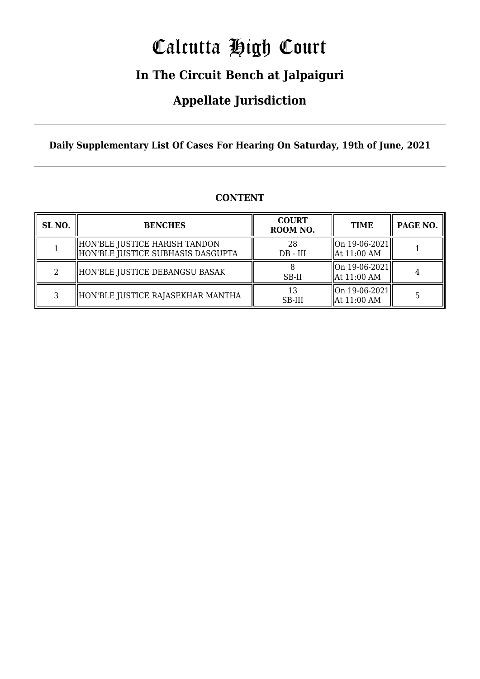# Calcutta High Court

### **In The Circuit Bench at Jalpaiguri**

### **Appellate Jurisdiction**

**Daily Supplementary List Of Cases For Hearing On Saturday, 19th of June, 2021**

| SL <sub>NO.</sub> | <b>BENCHES</b>                                                     | <b>COURT</b><br>ROOM NO. | <b>TIME</b>                                      | PAGE NO. |
|-------------------|--------------------------------------------------------------------|--------------------------|--------------------------------------------------|----------|
|                   | HON'BLE JUSTICE HARISH TANDON<br>HON'BLE JUSTICE SUBHASIS DASGUPTA | 28<br>$DB$ - $III$       | On 19-06-2021 <br>  At 11:00 AM                  |          |
|                   | HON'BLE JUSTICE DEBANGSU BASAK                                     | SB-II                    | $\lfloor$ On 19-06-2021 $\rfloor$<br>At 11:00 AM |          |
| כי                | HON'BLE JUSTICE RAJASEKHAR MANTHA                                  | 13<br>SB-III             | On 19-06-2021<br>  At 11:00 AM                   |          |

#### **CONTENT**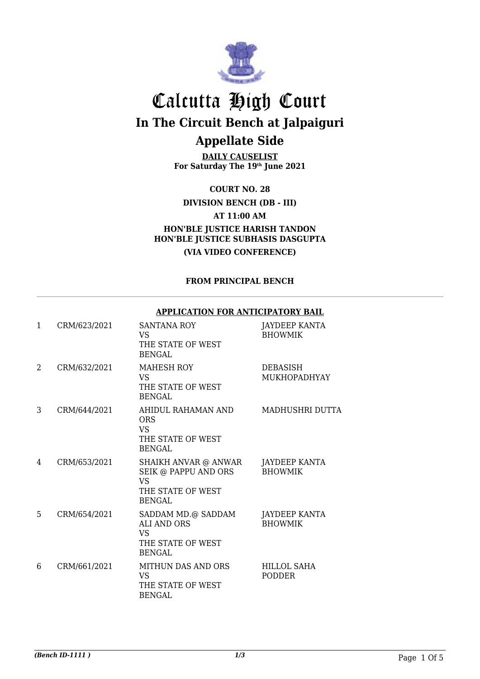

## Calcutta High Court **In The Circuit Bench at Jalpaiguri Appellate Side**

**DAILY CAUSELIST For Saturday The 19th June 2021**

**COURT NO. 28**

#### **DIVISION BENCH (DB - III)**

**AT 11:00 AM**

#### **HON'BLE JUSTICE HARISH TANDON HON'BLE JUSTICE SUBHASIS DASGUPTA (VIA VIDEO CONFERENCE)**

#### **FROM PRINCIPAL BENCH**

|              |              | AFFLICATION FOR ANTICIFATORI DAIL                                                               |                                        |
|--------------|--------------|-------------------------------------------------------------------------------------------------|----------------------------------------|
| $\mathbf{1}$ | CRM/623/2021 | <b>SANTANA ROY</b><br><b>VS</b><br>THE STATE OF WEST<br><b>BENGAL</b>                           | <b>JAYDEEP KANTA</b><br><b>BHOWMIK</b> |
| 2            | CRM/632/2021 | <b>MAHESH ROY</b><br><b>VS</b><br>THE STATE OF WEST<br><b>BENGAL</b>                            | <b>DEBASISH</b><br>MUKHOPADHYAY        |
| 3            | CRM/644/2021 | AHIDUL RAHAMAN AND<br><b>ORS</b><br><b>VS</b><br>THE STATE OF WEST<br><b>BENGAL</b>             | MADHUSHRI DUTTA                        |
| 4            | CRM/653/2021 | SHAIKH ANVAR @ ANWAR<br>SEIK @ PAPPU AND ORS<br><b>VS</b><br>THE STATE OF WEST<br><b>BENGAL</b> | JAYDEEP KANTA<br><b>BHOWMIK</b>        |
| 5            | CRM/654/2021 | SADDAM MD.@ SADDAM<br><b>ALI AND ORS</b><br><b>VS</b><br>THE STATE OF WEST<br><b>BENGAL</b>     | JAYDEEP KANTA<br><b>BHOWMIK</b>        |
| 6            | CRM/661/2021 | <b>MITHUN DAS AND ORS</b><br><b>VS</b><br>THE STATE OF WEST<br><b>BENGAL</b>                    | <b>HILLOL SAHA</b><br><b>PODDER</b>    |

#### **APPLICATION FOR ANTICIPATORY BAIL**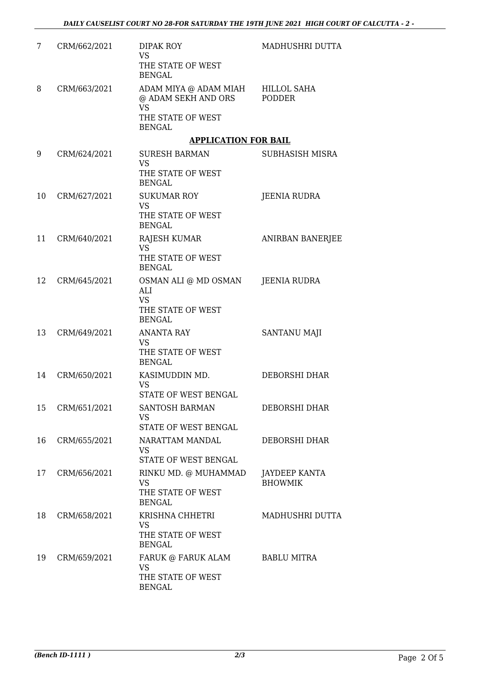| 7  | CRM/662/2021 | <b>DIPAK ROY</b><br><b>VS</b><br>THE STATE OF WEST<br><b>BENGAL</b>                             | MADHUSHRI DUTTA                 |
|----|--------------|-------------------------------------------------------------------------------------------------|---------------------------------|
| 8  | CRM/663/2021 | ADAM MIYA @ ADAM MIAH<br>@ ADAM SEKH AND ORS<br><b>VS</b><br>THE STATE OF WEST<br><b>BENGAL</b> | HILLOL SAHA<br><b>PODDER</b>    |
|    |              | <b>APPLICATION FOR BAIL</b>                                                                     |                                 |
| 9  | CRM/624/2021 | <b>SURESH BARMAN</b><br><b>VS</b><br>THE STATE OF WEST<br><b>BENGAL</b>                         | SUBHASISH MISRA                 |
| 10 | CRM/627/2021 | <b>SUKUMAR ROY</b><br><b>VS</b><br>THE STATE OF WEST<br><b>BENGAL</b>                           | JEENIA RUDRA                    |
| 11 | CRM/640/2021 | <b>RAJESH KUMAR</b><br><b>VS</b><br>THE STATE OF WEST<br><b>BENGAL</b>                          | ANIRBAN BANERJEE                |
| 12 | CRM/645/2021 | OSMAN ALI @ MD OSMAN<br>ALI<br><b>VS</b><br>THE STATE OF WEST<br><b>BENGAL</b>                  | <b>JEENIA RUDRA</b>             |
| 13 | CRM/649/2021 | <b>ANANTA RAY</b><br><b>VS</b><br>THE STATE OF WEST<br><b>BENGAL</b>                            | SANTANU MAJI                    |
| 14 | CRM/650/2021 | KASIMUDDIN MD.<br><b>VS</b><br>STATE OF WEST BENGAL                                             | DEBORSHI DHAR                   |
| 15 | CRM/651/2021 | SANTOSH BARMAN<br>VS.<br>STATE OF WEST BENGAL                                                   | DEBORSHI DHAR                   |
| 16 | CRM/655/2021 | NARATTAM MANDAL<br><b>VS</b><br>STATE OF WEST BENGAL                                            | <b>DEBORSHI DHAR</b>            |
| 17 | CRM/656/2021 | RINKU MD. @ MUHAMMAD<br><b>VS</b><br>THE STATE OF WEST<br><b>BENGAL</b>                         | JAYDEEP KANTA<br><b>BHOWMIK</b> |
| 18 | CRM/658/2021 | KRISHNA CHHETRI<br><b>VS</b><br>THE STATE OF WEST<br><b>BENGAL</b>                              | MADHUSHRI DUTTA                 |
| 19 | CRM/659/2021 | FARUK @ FARUK ALAM<br><b>VS</b><br>THE STATE OF WEST<br><b>BENGAL</b>                           | <b>BABLU MITRA</b>              |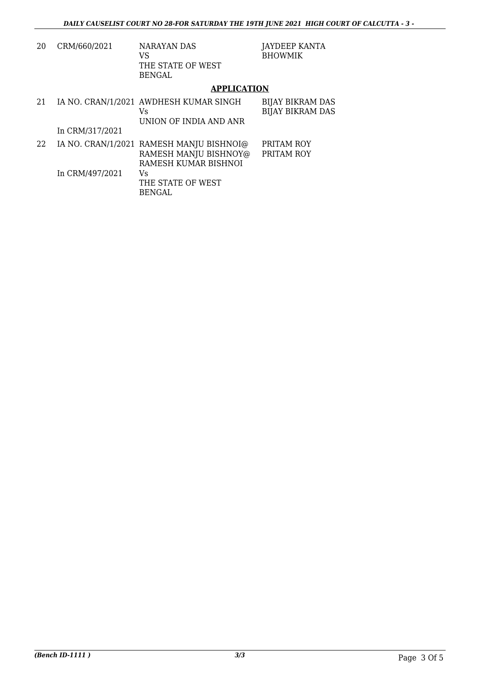| 20 | CRM/660/2021    | NARAYAN DAS<br>VS<br>THE STATE OF WEST<br><b>BENGAL</b>                                   | JAYDEEP KANTA<br><b>BHOWMIK</b>                    |
|----|-----------------|-------------------------------------------------------------------------------------------|----------------------------------------------------|
|    |                 | <b>APPLICATION</b>                                                                        |                                                    |
| 21 |                 | IA NO. CRAN/1/2021 AWDHESH KUMAR SINGH<br>Vs.<br>UNION OF INDIA AND ANR                   | <b>BIJAY BIKRAM DAS</b><br><b>BIJAY BIKRAM DAS</b> |
|    | In CRM/317/2021 |                                                                                           |                                                    |
| 22 |                 | IA NO. CRAN/1/2021 RAMESH MANJU BISHNOI@<br>RAMESH MANJU BISHNOY@<br>RAMESH KUMAR BISHNOI | PRITAM ROY<br>PRITAM ROY                           |
|    | In CRM/497/2021 | Vs<br>THE STATE OF WEST<br><b>BENGAL</b>                                                  |                                                    |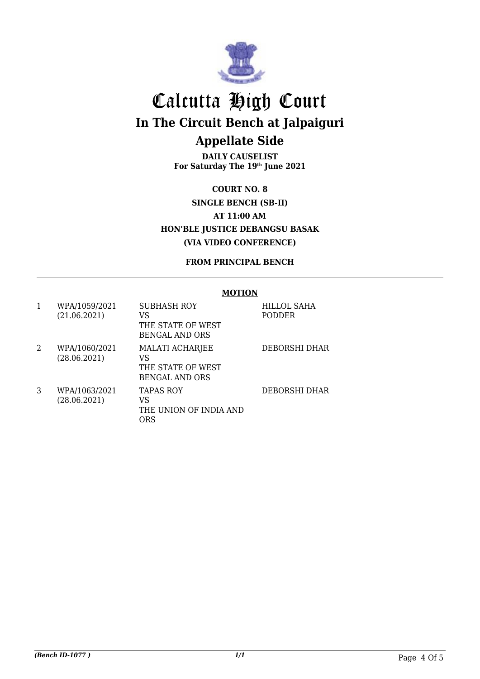

## Calcutta High Court **In The Circuit Bench at Jalpaiguri Appellate Side**

**DAILY CAUSELIST For Saturday The 19th June 2021**

**COURT NO. 8 SINGLE BENCH (SB-II) AT 11:00 AM HON'BLE JUSTICE DEBANGSU BASAK (VIA VIDEO CONFERENCE)**

#### **FROM PRINCIPAL BENCH**

#### **MOTION**

| 1 | WPA/1059/2021<br>(21.06.2021) | SUBHASH ROY<br>VS<br>THE STATE OF WEST<br><b>BENGAL AND ORS</b>            | <b>HILLOL SAHA</b><br><b>PODDER</b> |
|---|-------------------------------|----------------------------------------------------------------------------|-------------------------------------|
| 2 | WPA/1060/2021<br>(28.06.2021) | <b>MALATI ACHARJEE</b><br>VS<br>THE STATE OF WEST<br><b>BENGAL AND ORS</b> | DEBORSHI DHAR                       |
| 3 | WPA/1063/2021<br>(28.06.2021) | <b>TAPAS ROY</b><br>VS<br>THE UNION OF INDIA AND<br>ORS                    | DEBORSHI DHAR                       |